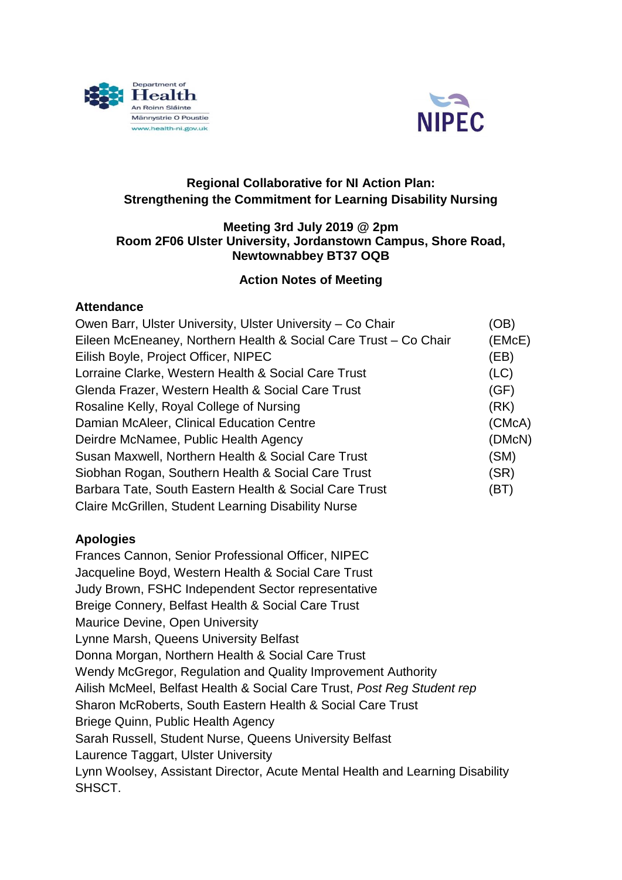



# **Regional Collaborative for NI Action Plan: Strengthening the Commitment for Learning Disability Nursing**

#### **Meeting 3rd July 2019 @ 2pm Room 2F06 Ulster University, Jordanstown Campus, Shore Road, Newtownabbey BT37 OQB**

# **Action Notes of Meeting**

### **Attendance**

| Owen Barr, Ulster University, Ulster University - Co Chair       | (OB)   |
|------------------------------------------------------------------|--------|
| Eileen McEneaney, Northern Health & Social Care Trust - Co Chair | (EMcE) |
| Eilish Boyle, Project Officer, NIPEC                             | (EB)   |
| Lorraine Clarke, Western Health & Social Care Trust              | (LC)   |
| Glenda Frazer, Western Health & Social Care Trust                | (GF)   |
| Rosaline Kelly, Royal College of Nursing                         | (RK)   |
| Damian McAleer, Clinical Education Centre                        | (CMcA) |
| Deirdre McNamee, Public Health Agency                            | (DMcN) |
| Susan Maxwell, Northern Health & Social Care Trust               | (SM)   |
| Siobhan Rogan, Southern Health & Social Care Trust               | (SR)   |
| Barbara Tate, South Eastern Health & Social Care Trust           | (BT)   |
| Claire McGrillen, Student Learning Disability Nurse              |        |

# **Apologies**

Frances Cannon, Senior Professional Officer, NIPEC Jacqueline Boyd, Western Health & Social Care Trust Judy Brown, FSHC Independent Sector representative Breige Connery, Belfast Health & Social Care Trust Maurice Devine, Open University Lynne Marsh, Queens University Belfast Donna Morgan, Northern Health & Social Care Trust Wendy McGregor, Regulation and Quality Improvement Authority Ailish McMeel, Belfast Health & Social Care Trust, *Post Reg Student rep* Sharon McRoberts, South Eastern Health & Social Care Trust Briege Quinn, Public Health Agency Sarah Russell, Student Nurse, Queens University Belfast Laurence Taggart, Ulster University Lynn Woolsey, Assistant Director, Acute Mental Health and Learning Disability SHSCT.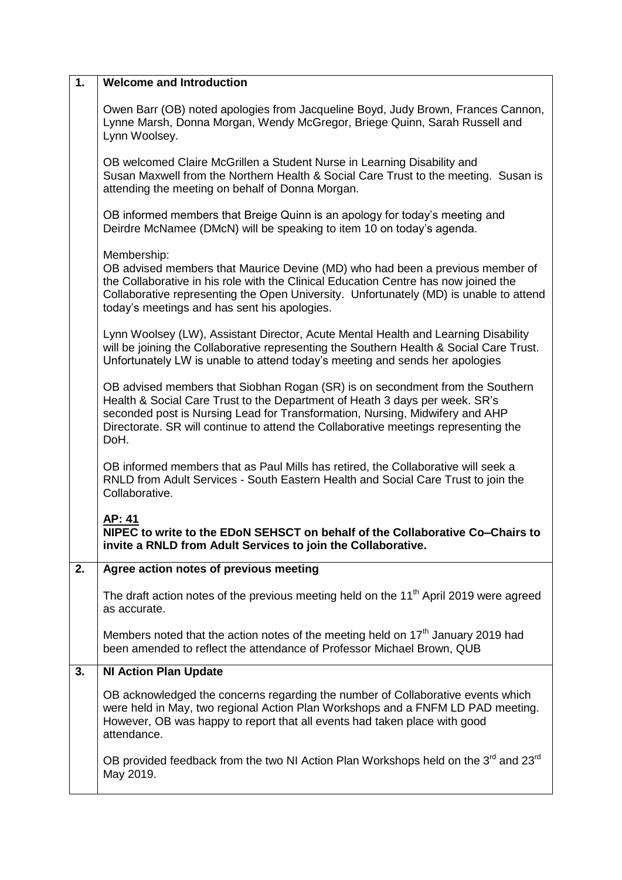| 1. | <b>Welcome and Introduction</b>                                                                                                                                                                                                                                                                                                             |
|----|---------------------------------------------------------------------------------------------------------------------------------------------------------------------------------------------------------------------------------------------------------------------------------------------------------------------------------------------|
|    | Owen Barr (OB) noted apologies from Jacqueline Boyd, Judy Brown, Frances Cannon,<br>Lynne Marsh, Donna Morgan, Wendy McGregor, Briege Quinn, Sarah Russell and<br>Lynn Woolsey.                                                                                                                                                             |
|    | OB welcomed Claire McGrillen a Student Nurse in Learning Disability and<br>Susan Maxwell from the Northern Health & Social Care Trust to the meeting. Susan is<br>attending the meeting on behalf of Donna Morgan.                                                                                                                          |
|    | OB informed members that Breige Quinn is an apology for today's meeting and<br>Deirdre McNamee (DMcN) will be speaking to item 10 on today's agenda.                                                                                                                                                                                        |
|    | Membership:<br>OB advised members that Maurice Devine (MD) who had been a previous member of<br>the Collaborative in his role with the Clinical Education Centre has now joined the<br>Collaborative representing the Open University. Unfortunately (MD) is unable to attend<br>today's meetings and has sent his apologies.               |
|    | Lynn Woolsey (LW), Assistant Director, Acute Mental Health and Learning Disability<br>will be joining the Collaborative representing the Southern Health & Social Care Trust.<br>Unfortunately LW is unable to attend today's meeting and sends her apologies                                                                               |
|    | OB advised members that Siobhan Rogan (SR) is on secondment from the Southern<br>Health & Social Care Trust to the Department of Heath 3 days per week. SR's<br>seconded post is Nursing Lead for Transformation, Nursing, Midwifery and AHP<br>Directorate. SR will continue to attend the Collaborative meetings representing the<br>DoH. |
|    | OB informed members that as Paul Mills has retired, the Collaborative will seek a<br>RNLD from Adult Services - South Eastern Health and Social Care Trust to join the<br>Collaborative.                                                                                                                                                    |
|    | AP: 41<br>NIPEC to write to the EDoN SEHSCT on behalf of the Collaborative Co-Chairs to<br>invite a RNLD from Adult Services to join the Collaborative.                                                                                                                                                                                     |
| 2. | Agree action notes of previous meeting                                                                                                                                                                                                                                                                                                      |
|    | The draft action notes of the previous meeting held on the 11 <sup>th</sup> April 2019 were agreed<br>as accurate.                                                                                                                                                                                                                          |
|    | Members noted that the action notes of the meeting held on 17 <sup>th</sup> January 2019 had<br>been amended to reflect the attendance of Professor Michael Brown, QUB                                                                                                                                                                      |
| 3. | <b>NI Action Plan Update</b>                                                                                                                                                                                                                                                                                                                |
|    | OB acknowledged the concerns regarding the number of Collaborative events which<br>were held in May, two regional Action Plan Workshops and a FNFM LD PAD meeting.<br>However, OB was happy to report that all events had taken place with good<br>attendance.                                                                              |
|    | OB provided feedback from the two NI Action Plan Workshops held on the 3rd and 23rd<br>May 2019.                                                                                                                                                                                                                                            |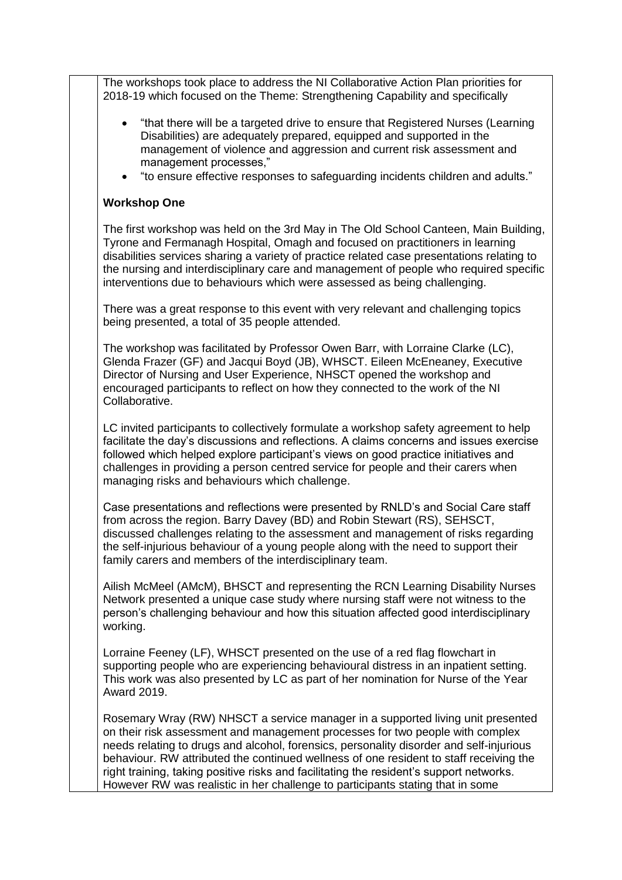The workshops took place to address the NI Collaborative Action Plan priorities for 2018-19 which focused on the Theme: Strengthening Capability and specifically

- "that there will be a targeted drive to ensure that Registered Nurses (Learning Disabilities) are adequately prepared, equipped and supported in the management of violence and aggression and current risk assessment and management processes,"
- "to ensure effective responses to safeguarding incidents children and adults."

#### **Workshop One**

The first workshop was held on the 3rd May in The Old School Canteen, Main Building, Tyrone and Fermanagh Hospital, Omagh and focused on practitioners in learning disabilities services sharing a variety of practice related case presentations relating to the nursing and interdisciplinary care and management of people who required specific interventions due to behaviours which were assessed as being challenging.

There was a great response to this event with very relevant and challenging topics being presented, a total of 35 people attended.

The workshop was facilitated by Professor Owen Barr, with Lorraine Clarke (LC), Glenda Frazer (GF) and Jacqui Boyd (JB), WHSCT. Eileen McEneaney, Executive Director of Nursing and User Experience, NHSCT opened the workshop and encouraged participants to reflect on how they connected to the work of the NI Collaborative.

LC invited participants to collectively formulate a workshop safety agreement to help facilitate the day's discussions and reflections. A claims concerns and issues exercise followed which helped explore participant's views on good practice initiatives and challenges in providing a person centred service for people and their carers when managing risks and behaviours which challenge.

Case presentations and reflections were presented by RNLD's and Social Care staff from across the region. Barry Davey (BD) and Robin Stewart (RS), SEHSCT, discussed challenges relating to the assessment and management of risks regarding the self-injurious behaviour of a young people along with the need to support their family carers and members of the interdisciplinary team.

Ailish McMeel (AMcM), BHSCT and representing the RCN Learning Disability Nurses Network presented a unique case study where nursing staff were not witness to the person's challenging behaviour and how this situation affected good interdisciplinary working.

Lorraine Feeney (LF), WHSCT presented on the use of a red flag flowchart in supporting people who are experiencing behavioural distress in an inpatient setting. This work was also presented by LC as part of her nomination for Nurse of the Year Award 2019.

Rosemary Wray (RW) NHSCT a service manager in a supported living unit presented on their risk assessment and management processes for two people with complex needs relating to drugs and alcohol, forensics, personality disorder and self-injurious behaviour. RW attributed the continued wellness of one resident to staff receiving the right training, taking positive risks and facilitating the resident's support networks. However RW was realistic in her challenge to participants stating that in some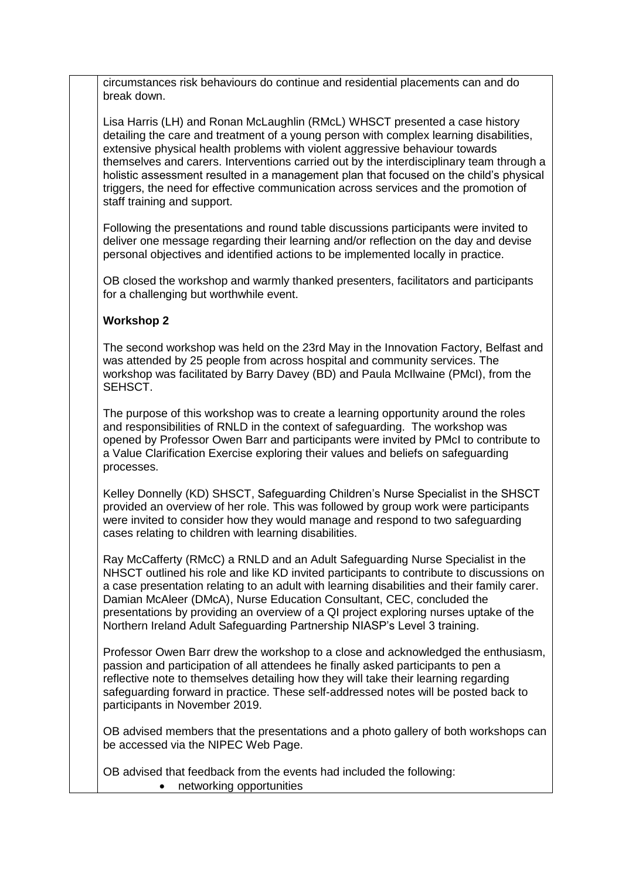circumstances risk behaviours do continue and residential placements can and do break down.

Lisa Harris (LH) and Ronan McLaughlin (RMcL) WHSCT presented a case history detailing the care and treatment of a young person with complex learning disabilities, extensive physical health problems with violent aggressive behaviour towards themselves and carers. Interventions carried out by the interdisciplinary team through a holistic assessment resulted in a management plan that focused on the child's physical triggers, the need for effective communication across services and the promotion of staff training and support.

Following the presentations and round table discussions participants were invited to deliver one message regarding their learning and/or reflection on the day and devise personal objectives and identified actions to be implemented locally in practice.

OB closed the workshop and warmly thanked presenters, facilitators and participants for a challenging but worthwhile event.

#### **Workshop 2**

The second workshop was held on the 23rd May in the Innovation Factory, Belfast and was attended by 25 people from across hospital and community services. The workshop was facilitated by Barry Davey (BD) and Paula McIlwaine (PMcI), from the SEHSCT.

The purpose of this workshop was to create a learning opportunity around the roles and responsibilities of RNLD in the context of safeguarding. The workshop was opened by Professor Owen Barr and participants were invited by PMcI to contribute to a Value Clarification Exercise exploring their values and beliefs on safeguarding processes.

Kelley Donnelly (KD) SHSCT, Safeguarding Children's Nurse Specialist in the SHSCT provided an overview of her role. This was followed by group work were participants were invited to consider how they would manage and respond to two safeguarding cases relating to children with learning disabilities.

Ray McCafferty (RMcC) a RNLD and an Adult Safeguarding Nurse Specialist in the NHSCT outlined his role and like KD invited participants to contribute to discussions on a case presentation relating to an adult with learning disabilities and their family carer. Damian McAleer (DMcA), Nurse Education Consultant, CEC, concluded the presentations by providing an overview of a QI project exploring nurses uptake of the Northern Ireland Adult Safeguarding Partnership NIASP's Level 3 training.

Professor Owen Barr drew the workshop to a close and acknowledged the enthusiasm, passion and participation of all attendees he finally asked participants to pen a reflective note to themselves detailing how they will take their learning regarding safeguarding forward in practice. These self-addressed notes will be posted back to participants in November 2019.

OB advised members that the presentations and a photo gallery of both workshops can be accessed via the NIPEC Web Page.

OB advised that feedback from the events had included the following: • networking opportunities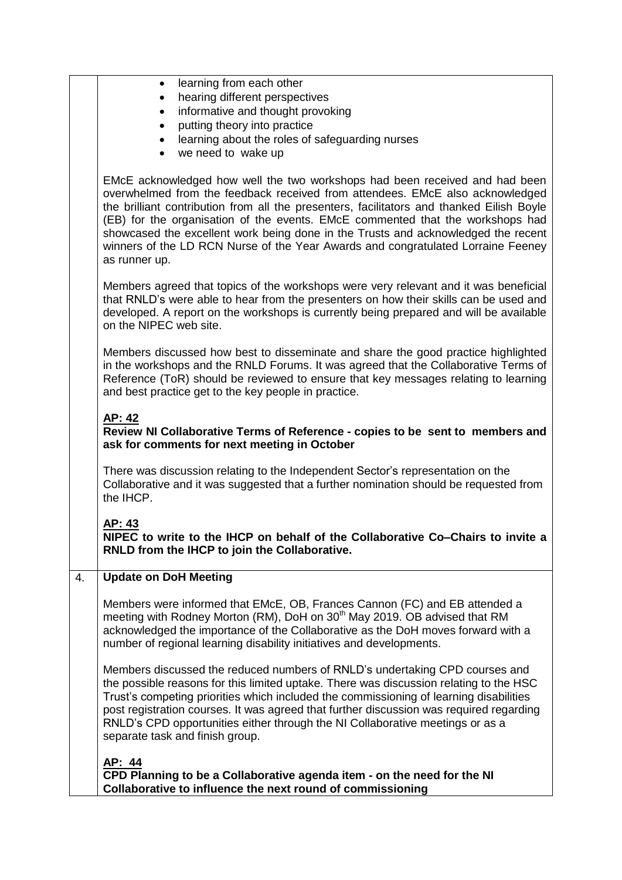|    | learning from each other<br>hearing different perspectives                                                                                                                                                                                                                                                                                                                                                                                                                                                                            |
|----|---------------------------------------------------------------------------------------------------------------------------------------------------------------------------------------------------------------------------------------------------------------------------------------------------------------------------------------------------------------------------------------------------------------------------------------------------------------------------------------------------------------------------------------|
|    | informative and thought provoking<br>$\bullet$<br>putting theory into practice                                                                                                                                                                                                                                                                                                                                                                                                                                                        |
|    | learning about the roles of safeguarding nurses<br>we need to wake up<br>$\bullet$                                                                                                                                                                                                                                                                                                                                                                                                                                                    |
|    | EMcE acknowledged how well the two workshops had been received and had been<br>overwhelmed from the feedback received from attendees. EMcE also acknowledged<br>the brilliant contribution from all the presenters, facilitators and thanked Eilish Boyle<br>(EB) for the organisation of the events. EMcE commented that the workshops had<br>showcased the excellent work being done in the Trusts and acknowledged the recent<br>winners of the LD RCN Nurse of the Year Awards and congratulated Lorraine Feeney<br>as runner up. |
|    | Members agreed that topics of the workshops were very relevant and it was beneficial<br>that RNLD's were able to hear from the presenters on how their skills can be used and<br>developed. A report on the workshops is currently being prepared and will be available<br>on the NIPEC web site.                                                                                                                                                                                                                                     |
|    | Members discussed how best to disseminate and share the good practice highlighted<br>in the workshops and the RNLD Forums. It was agreed that the Collaborative Terms of<br>Reference (ToR) should be reviewed to ensure that key messages relating to learning<br>and best practice get to the key people in practice.                                                                                                                                                                                                               |
|    | AP: 42<br>Review NI Collaborative Terms of Reference - copies to be sent to members and<br>ask for comments for next meeting in October                                                                                                                                                                                                                                                                                                                                                                                               |
|    | There was discussion relating to the Independent Sector's representation on the<br>Collaborative and it was suggested that a further nomination should be requested from<br>the IHCP.                                                                                                                                                                                                                                                                                                                                                 |
|    | <u>AP: 43</u><br>NIPEC to write to the IHCP on behalf of the Collaborative Co-Chairs to invite a<br>RNLD from the IHCP to join the Collaborative.                                                                                                                                                                                                                                                                                                                                                                                     |
| 4. | <b>Update on DoH Meeting</b>                                                                                                                                                                                                                                                                                                                                                                                                                                                                                                          |
|    | Members were informed that EMcE, OB, Frances Cannon (FC) and EB attended a<br>meeting with Rodney Morton (RM), DoH on 30 <sup>th</sup> May 2019. OB advised that RM<br>acknowledged the importance of the Collaborative as the DoH moves forward with a<br>number of regional learning disability initiatives and developments.                                                                                                                                                                                                       |
|    | Members discussed the reduced numbers of RNLD's undertaking CPD courses and<br>the possible reasons for this limited uptake. There was discussion relating to the HSC<br>Trust's competing priorities which included the commissioning of learning disabilities<br>post registration courses. It was agreed that further discussion was required regarding<br>RNLD's CPD opportunities either through the NI Collaborative meetings or as a<br>separate task and finish group.                                                        |
|    | AP: 44<br>CPD Planning to be a Collaborative agenda item - on the need for the NI<br>Collaborative to influence the next round of commissioning                                                                                                                                                                                                                                                                                                                                                                                       |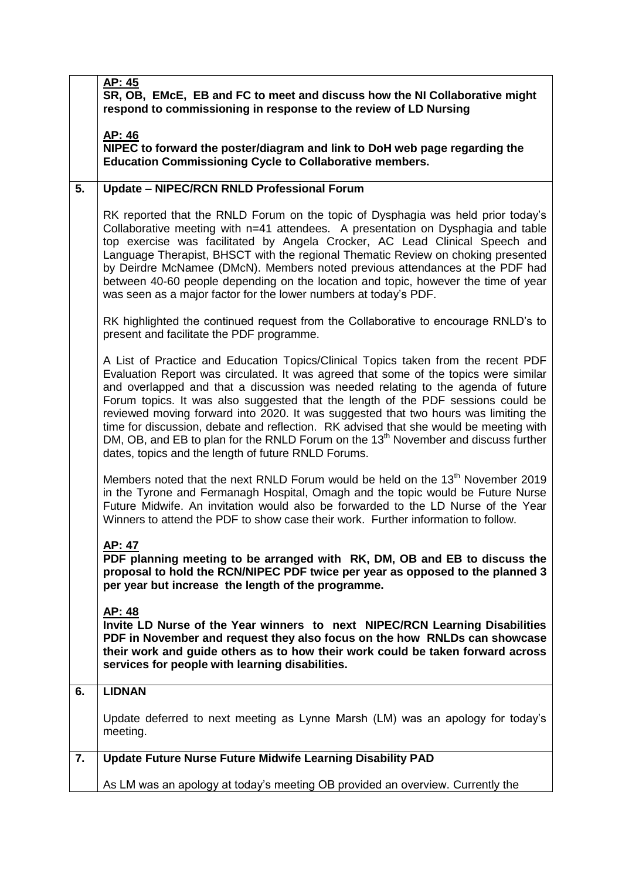|    | AP: 45<br>SR, OB, EMcE, EB and FC to meet and discuss how the NI Collaborative might<br>respond to commissioning in response to the review of LD Nursing                                                                                                                                                                                                                                                                                                                                                                                                                                                                                                                                   |
|----|--------------------------------------------------------------------------------------------------------------------------------------------------------------------------------------------------------------------------------------------------------------------------------------------------------------------------------------------------------------------------------------------------------------------------------------------------------------------------------------------------------------------------------------------------------------------------------------------------------------------------------------------------------------------------------------------|
|    | AP: 46<br>NIPEC to forward the poster/diagram and link to DoH web page regarding the<br><b>Education Commissioning Cycle to Collaborative members.</b>                                                                                                                                                                                                                                                                                                                                                                                                                                                                                                                                     |
| 5. | <b>Update - NIPEC/RCN RNLD Professional Forum</b>                                                                                                                                                                                                                                                                                                                                                                                                                                                                                                                                                                                                                                          |
|    | RK reported that the RNLD Forum on the topic of Dysphagia was held prior today's<br>Collaborative meeting with n=41 attendees. A presentation on Dysphagia and table<br>top exercise was facilitated by Angela Crocker, AC Lead Clinical Speech and<br>Language Therapist, BHSCT with the regional Thematic Review on choking presented<br>by Deirdre McNamee (DMcN). Members noted previous attendances at the PDF had<br>between 40-60 people depending on the location and topic, however the time of year<br>was seen as a major factor for the lower numbers at today's PDF.                                                                                                          |
|    | RK highlighted the continued request from the Collaborative to encourage RNLD's to<br>present and facilitate the PDF programme.                                                                                                                                                                                                                                                                                                                                                                                                                                                                                                                                                            |
|    | A List of Practice and Education Topics/Clinical Topics taken from the recent PDF<br>Evaluation Report was circulated. It was agreed that some of the topics were similar<br>and overlapped and that a discussion was needed relating to the agenda of future<br>Forum topics. It was also suggested that the length of the PDF sessions could be<br>reviewed moving forward into 2020. It was suggested that two hours was limiting the<br>time for discussion, debate and reflection. RK advised that she would be meeting with<br>DM, OB, and EB to plan for the RNLD Forum on the 13 <sup>th</sup> November and discuss further<br>dates, topics and the length of future RNLD Forums. |
|    | Members noted that the next RNLD Forum would be held on the 13 <sup>th</sup> November 2019<br>in the Tyrone and Fermanagh Hospital, Omagh and the topic would be Future Nurse<br>Future Midwife. An invitation would also be forwarded to the LD Nurse of the Year<br>Winners to attend the PDF to show case their work. Further information to follow.                                                                                                                                                                                                                                                                                                                                    |
|    | <u>AP: 47</u><br>PDF planning meeting to be arranged with RK, DM, OB and EB to discuss the<br>proposal to hold the RCN/NIPEC PDF twice per year as opposed to the planned 3<br>per year but increase the length of the programme.                                                                                                                                                                                                                                                                                                                                                                                                                                                          |
|    | AP: 48<br>Invite LD Nurse of the Year winners to next NIPEC/RCN Learning Disabilities<br>PDF in November and request they also focus on the how RNLDs can showcase<br>their work and guide others as to how their work could be taken forward across<br>services for people with learning disabilities.                                                                                                                                                                                                                                                                                                                                                                                    |
| 6. | <b>LIDNAN</b>                                                                                                                                                                                                                                                                                                                                                                                                                                                                                                                                                                                                                                                                              |
|    | Update deferred to next meeting as Lynne Marsh (LM) was an apology for today's<br>meeting.                                                                                                                                                                                                                                                                                                                                                                                                                                                                                                                                                                                                 |
| 7. | Update Future Nurse Future Midwife Learning Disability PAD                                                                                                                                                                                                                                                                                                                                                                                                                                                                                                                                                                                                                                 |
|    | As LM was an apology at today's meeting OB provided an overview. Currently the                                                                                                                                                                                                                                                                                                                                                                                                                                                                                                                                                                                                             |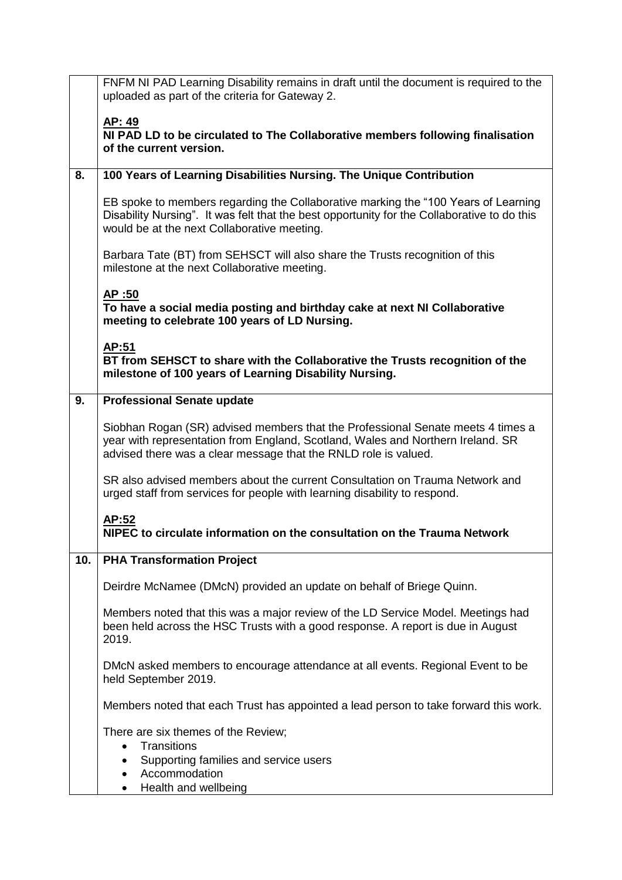|     | FNFM NI PAD Learning Disability remains in draft until the document is required to the<br>uploaded as part of the criteria for Gateway 2.                                                                                             |
|-----|---------------------------------------------------------------------------------------------------------------------------------------------------------------------------------------------------------------------------------------|
|     | AP: 49<br>NI PAD LD to be circulated to The Collaborative members following finalisation<br>of the current version.                                                                                                                   |
|     |                                                                                                                                                                                                                                       |
| 8.  | 100 Years of Learning Disabilities Nursing. The Unique Contribution                                                                                                                                                                   |
|     | EB spoke to members regarding the Collaborative marking the "100 Years of Learning<br>Disability Nursing". It was felt that the best opportunity for the Collaborative to do this<br>would be at the next Collaborative meeting.      |
|     | Barbara Tate (BT) from SEHSCT will also share the Trusts recognition of this<br>milestone at the next Collaborative meeting.                                                                                                          |
|     | <u>AP:50</u><br>To have a social media posting and birthday cake at next NI Collaborative<br>meeting to celebrate 100 years of LD Nursing.                                                                                            |
|     | AP:51<br>BT from SEHSCT to share with the Collaborative the Trusts recognition of the<br>milestone of 100 years of Learning Disability Nursing.                                                                                       |
| 9.  | <b>Professional Senate update</b>                                                                                                                                                                                                     |
|     | Siobhan Rogan (SR) advised members that the Professional Senate meets 4 times a<br>year with representation from England, Scotland, Wales and Northern Ireland. SR<br>advised there was a clear message that the RNLD role is valued. |
|     | SR also advised members about the current Consultation on Trauma Network and<br>urged staff from services for people with learning disability to respond.                                                                             |
|     | AP:52<br>NIPEC to circulate information on the consultation on the Trauma Network                                                                                                                                                     |
| 10. | <b>PHA Transformation Project</b>                                                                                                                                                                                                     |
|     | Deirdre McNamee (DMcN) provided an update on behalf of Briege Quinn.                                                                                                                                                                  |
|     | Members noted that this was a major review of the LD Service Model. Meetings had<br>been held across the HSC Trusts with a good response. A report is due in August<br>2019.                                                          |
|     | DMcN asked members to encourage attendance at all events. Regional Event to be<br>held September 2019.                                                                                                                                |
|     | Members noted that each Trust has appointed a lead person to take forward this work.                                                                                                                                                  |
|     | There are six themes of the Review;                                                                                                                                                                                                   |
|     | Transitions<br>$\bullet$<br>Supporting families and service users                                                                                                                                                                     |
|     | Accommodation                                                                                                                                                                                                                         |
|     | Health and wellbeing<br>$\bullet$                                                                                                                                                                                                     |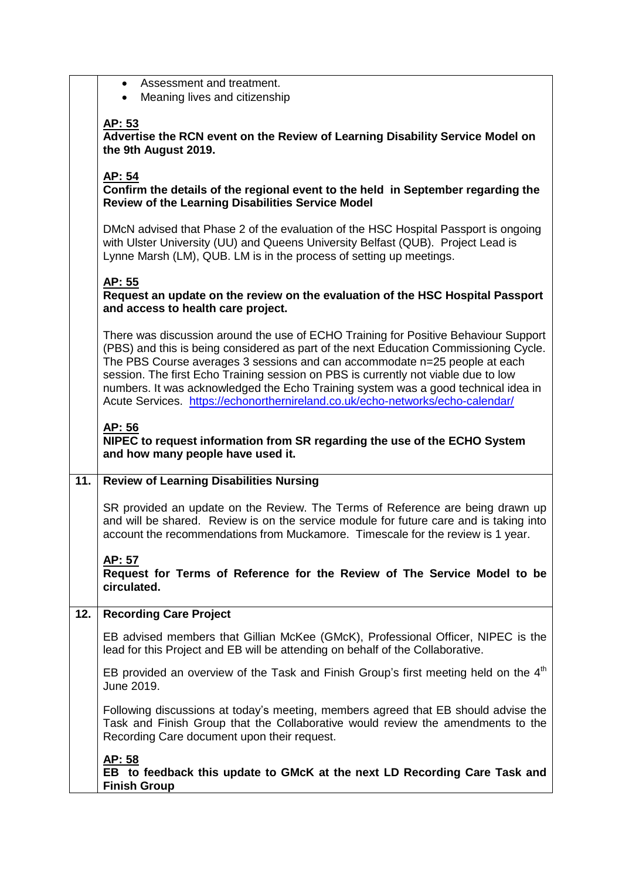|     | Assessment and treatment.<br>$\bullet$<br>Meaning lives and citizenship                                                                                                                                                                                                                                                                                                                                                                                                                                                  |
|-----|--------------------------------------------------------------------------------------------------------------------------------------------------------------------------------------------------------------------------------------------------------------------------------------------------------------------------------------------------------------------------------------------------------------------------------------------------------------------------------------------------------------------------|
|     | AP: 53<br>Advertise the RCN event on the Review of Learning Disability Service Model on<br>the 9th August 2019.                                                                                                                                                                                                                                                                                                                                                                                                          |
|     | AP: 54<br>Confirm the details of the regional event to the held in September regarding the<br><b>Review of the Learning Disabilities Service Model</b>                                                                                                                                                                                                                                                                                                                                                                   |
|     | DMcN advised that Phase 2 of the evaluation of the HSC Hospital Passport is ongoing<br>with Ulster University (UU) and Queens University Belfast (QUB). Project Lead is<br>Lynne Marsh (LM), QUB. LM is in the process of setting up meetings.                                                                                                                                                                                                                                                                           |
|     | <u>AP: 55</u><br>Request an update on the review on the evaluation of the HSC Hospital Passport<br>and access to health care project.                                                                                                                                                                                                                                                                                                                                                                                    |
|     | There was discussion around the use of ECHO Training for Positive Behaviour Support<br>(PBS) and this is being considered as part of the next Education Commissioning Cycle.<br>The PBS Course averages 3 sessions and can accommodate n=25 people at each<br>session. The first Echo Training session on PBS is currently not viable due to low<br>numbers. It was acknowledged the Echo Training system was a good technical idea in<br>Acute Services. https://echonorthernireland.co.uk/echo-networks/echo-calendar/ |
|     | AP: 56<br>NIPEC to request information from SR regarding the use of the ECHO System<br>and how many people have used it.                                                                                                                                                                                                                                                                                                                                                                                                 |
| 11. | <b>Review of Learning Disabilities Nursing</b>                                                                                                                                                                                                                                                                                                                                                                                                                                                                           |
|     | SR provided an update on the Review. The Terms of Reference are being drawn up<br>and will be shared. Review is on the service module for future care and is taking into<br>account the recommendations from Muckamore. Timescale for the review is 1 year.                                                                                                                                                                                                                                                              |
|     | <u>AP: 57</u><br>Request for Terms of Reference for the Review of The Service Model to be<br>circulated.                                                                                                                                                                                                                                                                                                                                                                                                                 |
| 12. | <b>Recording Care Project</b>                                                                                                                                                                                                                                                                                                                                                                                                                                                                                            |
|     | EB advised members that Gillian McKee (GMcK), Professional Officer, NIPEC is the<br>lead for this Project and EB will be attending on behalf of the Collaborative.                                                                                                                                                                                                                                                                                                                                                       |
|     | EB provided an overview of the Task and Finish Group's first meeting held on the 4 <sup>th</sup><br>June 2019.                                                                                                                                                                                                                                                                                                                                                                                                           |
|     | Following discussions at today's meeting, members agreed that EB should advise the<br>Task and Finish Group that the Collaborative would review the amendments to the<br>Recording Care document upon their request.                                                                                                                                                                                                                                                                                                     |
|     | <u>AP: 58</u><br>EB to feedback this update to GMcK at the next LD Recording Care Task and<br><b>Finish Group</b>                                                                                                                                                                                                                                                                                                                                                                                                        |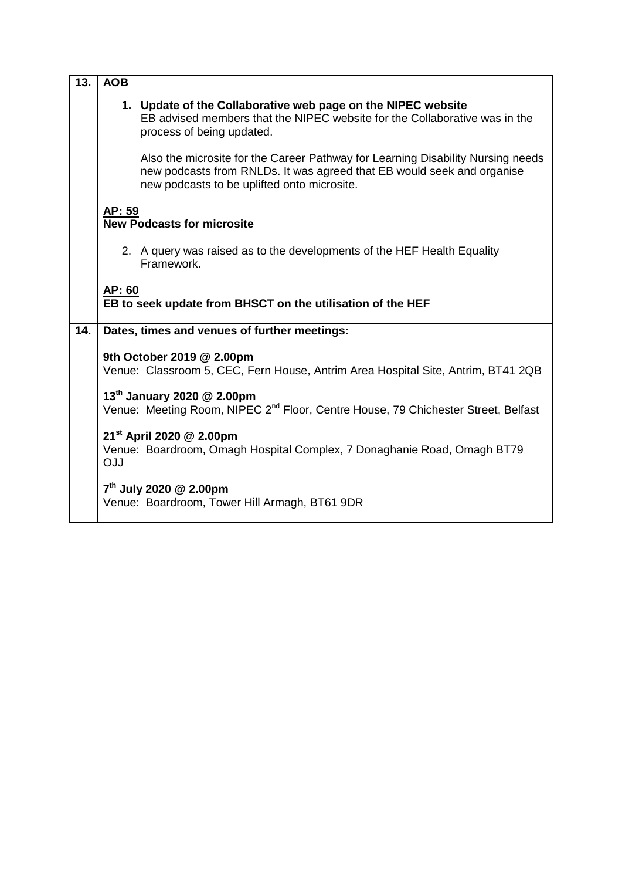| 13. | <b>AOB</b>                                                                                                                                                                                               |  |  |
|-----|----------------------------------------------------------------------------------------------------------------------------------------------------------------------------------------------------------|--|--|
|     | 1. Update of the Collaborative web page on the NIPEC website<br>EB advised members that the NIPEC website for the Collaborative was in the<br>process of being updated.                                  |  |  |
|     | Also the microsite for the Career Pathway for Learning Disability Nursing needs<br>new podcasts from RNLDs. It was agreed that EB would seek and organise<br>new podcasts to be uplifted onto microsite. |  |  |
|     | AP: 59<br><b>New Podcasts for microsite</b>                                                                                                                                                              |  |  |
|     | 2. A query was raised as to the developments of the HEF Health Equality<br>Framework.                                                                                                                    |  |  |
|     | AP: 60<br>EB to seek update from BHSCT on the utilisation of the HEF                                                                                                                                     |  |  |
| 14. | Dates, times and venues of further meetings:                                                                                                                                                             |  |  |
|     | 9th October 2019 @ 2.00pm<br>Venue: Classroom 5, CEC, Fern House, Antrim Area Hospital Site, Antrim, BT41 2QB                                                                                            |  |  |
|     | 13 <sup>th</sup> January 2020 @ 2.00pm<br>Venue: Meeting Room, NIPEC 2 <sup>nd</sup> Floor, Centre House, 79 Chichester Street, Belfast                                                                  |  |  |
|     | 21 <sup>st</sup> April 2020 @ 2.00pm<br>Venue: Boardroom, Omagh Hospital Complex, 7 Donaghanie Road, Omagh BT79<br>OJJ                                                                                   |  |  |
|     | $7th$ July 2020 @ 2.00pm<br>Venue: Boardroom, Tower Hill Armagh, BT61 9DR                                                                                                                                |  |  |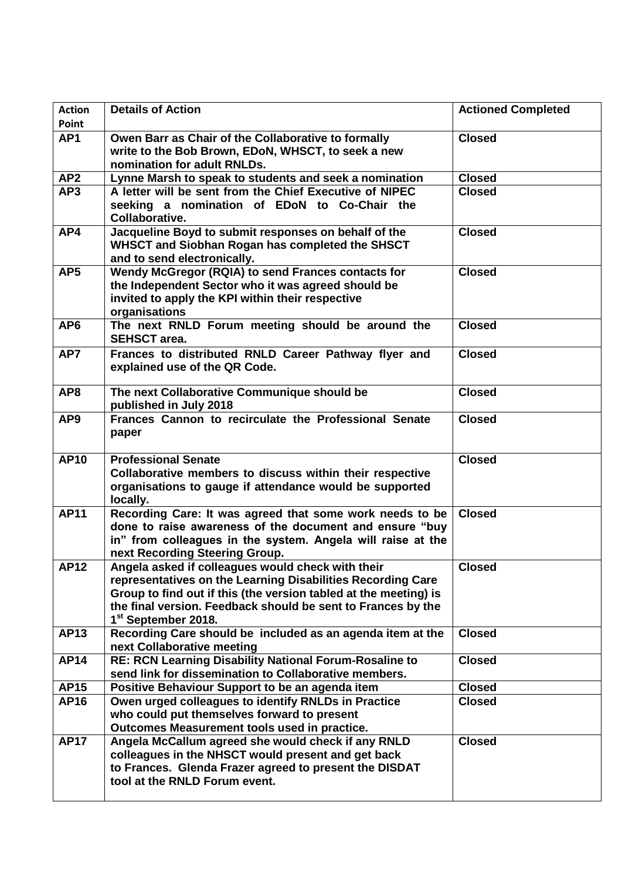| <b>Action</b><br>Point | <b>Details of Action</b>                                                                                                                                                                                                                                                                | <b>Actioned Completed</b> |
|------------------------|-----------------------------------------------------------------------------------------------------------------------------------------------------------------------------------------------------------------------------------------------------------------------------------------|---------------------------|
| AP <sub>1</sub>        | Owen Barr as Chair of the Collaborative to formally<br>write to the Bob Brown, EDoN, WHSCT, to seek a new<br>nomination for adult RNLDs.                                                                                                                                                | <b>Closed</b>             |
| AP <sub>2</sub>        | Lynne Marsh to speak to students and seek a nomination                                                                                                                                                                                                                                  | <b>Closed</b>             |
| AP3                    | A letter will be sent from the Chief Executive of NIPEC<br>seeking a nomination of EDoN to Co-Chair the<br><b>Collaborative.</b>                                                                                                                                                        | <b>Closed</b>             |
| AP4                    | Jacqueline Boyd to submit responses on behalf of the<br>WHSCT and Siobhan Rogan has completed the SHSCT<br>and to send electronically.                                                                                                                                                  | <b>Closed</b>             |
| AP <sub>5</sub>        | Wendy McGregor (RQIA) to send Frances contacts for<br>the Independent Sector who it was agreed should be<br>invited to apply the KPI within their respective<br>organisations                                                                                                           | <b>Closed</b>             |
| AP <sub>6</sub>        | The next RNLD Forum meeting should be around the<br><b>SEHSCT</b> area.                                                                                                                                                                                                                 | <b>Closed</b>             |
| AP7                    | Frances to distributed RNLD Career Pathway flyer and<br>explained use of the QR Code.                                                                                                                                                                                                   | <b>Closed</b>             |
| AP8                    | The next Collaborative Communique should be<br>published in July 2018                                                                                                                                                                                                                   | <b>Closed</b>             |
| AP <sub>9</sub>        | Frances Cannon to recirculate the Professional Senate<br>paper                                                                                                                                                                                                                          | <b>Closed</b>             |
| <b>AP10</b>            | <b>Professional Senate</b><br>Collaborative members to discuss within their respective<br>organisations to gauge if attendance would be supported<br>locally.                                                                                                                           | <b>Closed</b>             |
| <b>AP11</b>            | Recording Care: It was agreed that some work needs to be<br>done to raise awareness of the document and ensure "buy<br>in" from colleagues in the system. Angela will raise at the<br>next Recording Steering Group.                                                                    | <b>Closed</b>             |
| <b>AP12</b>            | Angela asked if colleagues would check with their<br>representatives on the Learning Disabilities Recording Care<br>Group to find out if this (the version tabled at the meeting) is<br>the final version. Feedback should be sent to Frances by the<br>1 <sup>st</sup> September 2018. | <b>Closed</b>             |
| <b>AP13</b>            | Recording Care should be included as an agenda item at the<br>next Collaborative meeting                                                                                                                                                                                                | <b>Closed</b>             |
| <b>AP14</b>            | RE: RCN Learning Disability National Forum-Rosaline to<br>send link for dissemination to Collaborative members.                                                                                                                                                                         | <b>Closed</b>             |
| <b>AP15</b>            | Positive Behaviour Support to be an agenda item                                                                                                                                                                                                                                         | <b>Closed</b>             |
| <b>AP16</b>            | Owen urged colleagues to identify RNLDs in Practice<br>who could put themselves forward to present<br>Outcomes Measurement tools used in practice.                                                                                                                                      | <b>Closed</b>             |
| <b>AP17</b>            | Angela McCallum agreed she would check if any RNLD<br>colleagues in the NHSCT would present and get back<br>to Frances. Glenda Frazer agreed to present the DISDAT<br>tool at the RNLD Forum event.                                                                                     | <b>Closed</b>             |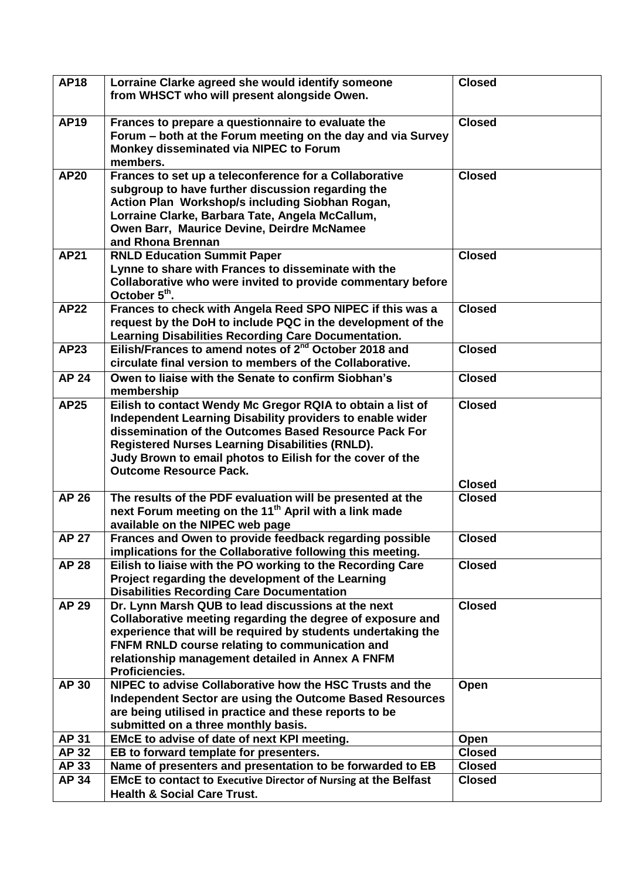| <b>AP18</b>  | Lorraine Clarke agreed she would identify someone<br>from WHSCT who will present alongside Owen.                                                                                                                                                                                                                                         | <b>Closed</b> |
|--------------|------------------------------------------------------------------------------------------------------------------------------------------------------------------------------------------------------------------------------------------------------------------------------------------------------------------------------------------|---------------|
| <b>AP19</b>  | Frances to prepare a questionnaire to evaluate the<br>Forum – both at the Forum meeting on the day and via Survey<br>Monkey disseminated via NIPEC to Forum<br>members.                                                                                                                                                                  | <b>Closed</b> |
| <b>AP20</b>  | Frances to set up a teleconference for a Collaborative<br>subgroup to have further discussion regarding the<br>Action Plan Workshop/s including Siobhan Rogan,<br>Lorraine Clarke, Barbara Tate, Angela McCallum,<br>Owen Barr, Maurice Devine, Deirdre McNamee<br>and Rhona Brennan                                                     | <b>Closed</b> |
| <b>AP21</b>  | <b>RNLD Education Summit Paper</b><br>Lynne to share with Frances to disseminate with the<br>Collaborative who were invited to provide commentary before<br>October 5 <sup>th</sup> .                                                                                                                                                    | <b>Closed</b> |
| <b>AP22</b>  | Frances to check with Angela Reed SPO NIPEC if this was a<br>request by the DoH to include PQC in the development of the<br>Learning Disabilities Recording Care Documentation.                                                                                                                                                          | <b>Closed</b> |
| <b>AP23</b>  | Eilish/Frances to amend notes of 2 <sup>nd</sup> October 2018 and<br>circulate final version to members of the Collaborative.                                                                                                                                                                                                            | <b>Closed</b> |
| <b>AP 24</b> | Owen to liaise with the Senate to confirm Siobhan's<br>membership                                                                                                                                                                                                                                                                        | <b>Closed</b> |
| <b>AP25</b>  | Eilish to contact Wendy Mc Gregor RQIA to obtain a list of<br>Independent Learning Disability providers to enable wider<br>dissemination of the Outcomes Based Resource Pack For<br><b>Registered Nurses Learning Disabilities (RNLD).</b><br>Judy Brown to email photos to Eilish for the cover of the<br><b>Outcome Resource Pack.</b> | <b>Closed</b> |
|              |                                                                                                                                                                                                                                                                                                                                          | <b>Closed</b> |
| <b>AP 26</b> | The results of the PDF evaluation will be presented at the<br>next Forum meeting on the 11 <sup>th</sup> April with a link made<br>available on the NIPEC web page                                                                                                                                                                       | <b>Closed</b> |
| <b>AP 27</b> | Frances and Owen to provide feedback regarding possible<br>implications for the Collaborative following this meeting.                                                                                                                                                                                                                    | <b>Closed</b> |
| <b>AP 28</b> | Eilish to liaise with the PO working to the Recording Care<br>Project regarding the development of the Learning<br><b>Disabilities Recording Care Documentation</b>                                                                                                                                                                      | <b>Closed</b> |
| <b>AP 29</b> | Dr. Lynn Marsh QUB to lead discussions at the next<br>Collaborative meeting regarding the degree of exposure and<br>experience that will be required by students undertaking the<br>FNFM RNLD course relating to communication and<br>relationship management detailed in Annex A FNFM<br>Proficiencies.                                 | <b>Closed</b> |
| <b>AP 30</b> | NIPEC to advise Collaborative how the HSC Trusts and the<br>Independent Sector are using the Outcome Based Resources<br>are being utilised in practice and these reports to be<br>submitted on a three monthly basis.                                                                                                                    | Open          |
| <b>AP 31</b> | EMcE to advise of date of next KPI meeting.                                                                                                                                                                                                                                                                                              | Open          |
| AP 32        | EB to forward template for presenters.                                                                                                                                                                                                                                                                                                   | <b>Closed</b> |
| AP 33        | Name of presenters and presentation to be forwarded to EB                                                                                                                                                                                                                                                                                | <b>Closed</b> |
| AP 34        | <b>EMcE to contact to Executive Director of Nursing at the Belfast</b><br><b>Health &amp; Social Care Trust.</b>                                                                                                                                                                                                                         | <b>Closed</b> |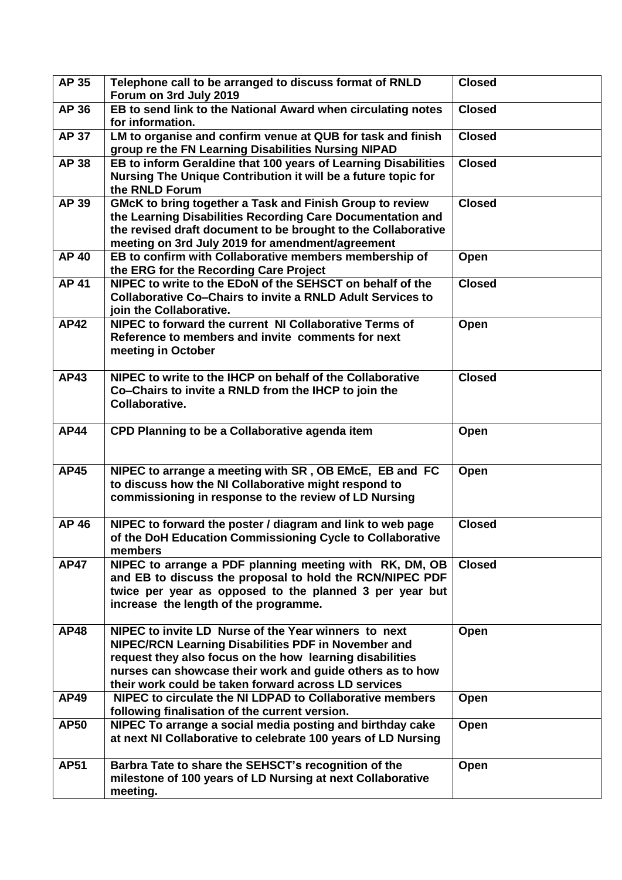| AP 35        | Telephone call to be arranged to discuss format of RNLD<br>Forum on 3rd July 2019                                                                                                                                                                                                            | <b>Closed</b> |
|--------------|----------------------------------------------------------------------------------------------------------------------------------------------------------------------------------------------------------------------------------------------------------------------------------------------|---------------|
| AP 36        | EB to send link to the National Award when circulating notes<br>for information.                                                                                                                                                                                                             | <b>Closed</b> |
| <b>AP 37</b> | LM to organise and confirm venue at QUB for task and finish<br>group re the FN Learning Disabilities Nursing NIPAD                                                                                                                                                                           | <b>Closed</b> |
| <b>AP 38</b> | EB to inform Geraldine that 100 years of Learning Disabilities<br>Nursing The Unique Contribution it will be a future topic for<br>the RNLD Forum                                                                                                                                            | <b>Closed</b> |
| AP 39        | <b>GMcK to bring together a Task and Finish Group to review</b><br>the Learning Disabilities Recording Care Documentation and<br>the revised draft document to be brought to the Collaborative<br>meeting on 3rd July 2019 for amendment/agreement                                           | <b>Closed</b> |
| <b>AP 40</b> | EB to confirm with Collaborative members membership of<br>the ERG for the Recording Care Project                                                                                                                                                                                             | Open          |
| <b>AP 41</b> | NIPEC to write to the EDoN of the SEHSCT on behalf of the<br><b>Collaborative Co-Chairs to invite a RNLD Adult Services to</b><br>join the Collaborative.                                                                                                                                    | <b>Closed</b> |
| <b>AP42</b>  | NIPEC to forward the current NI Collaborative Terms of<br>Reference to members and invite comments for next<br>meeting in October                                                                                                                                                            | Open          |
| <b>AP43</b>  | NIPEC to write to the IHCP on behalf of the Collaborative<br>Co-Chairs to invite a RNLD from the IHCP to join the<br>Collaborative.                                                                                                                                                          | <b>Closed</b> |
| <b>AP44</b>  | CPD Planning to be a Collaborative agenda item                                                                                                                                                                                                                                               | Open          |
| <b>AP45</b>  | NIPEC to arrange a meeting with SR, OB EMcE, EB and FC<br>to discuss how the NI Collaborative might respond to<br>commissioning in response to the review of LD Nursing                                                                                                                      | Open          |
| <b>AP 46</b> | NIPEC to forward the poster / diagram and link to web page<br>of the DoH Education Commissioning Cycle to Collaborative<br>members                                                                                                                                                           | <b>Closed</b> |
| <b>AP47</b>  | NIPEC to arrange a PDF planning meeting with RK, DM, OB<br>and EB to discuss the proposal to hold the RCN/NIPEC PDF<br>twice per year as opposed to the planned 3 per year but<br>increase the length of the programme.                                                                      | <b>Closed</b> |
| <b>AP48</b>  | NIPEC to invite LD Nurse of the Year winners to next<br>NIPEC/RCN Learning Disabilities PDF in November and<br>request they also focus on the how learning disabilities<br>nurses can showcase their work and guide others as to how<br>their work could be taken forward across LD services | Open          |
| <b>AP49</b>  | NIPEC to circulate the NI LDPAD to Collaborative members<br>following finalisation of the current version.                                                                                                                                                                                   | Open          |
| <b>AP50</b>  | NIPEC To arrange a social media posting and birthday cake<br>at next NI Collaborative to celebrate 100 years of LD Nursing                                                                                                                                                                   | Open          |
| <b>AP51</b>  | Barbra Tate to share the SEHSCT's recognition of the<br>milestone of 100 years of LD Nursing at next Collaborative<br>meeting.                                                                                                                                                               | Open          |